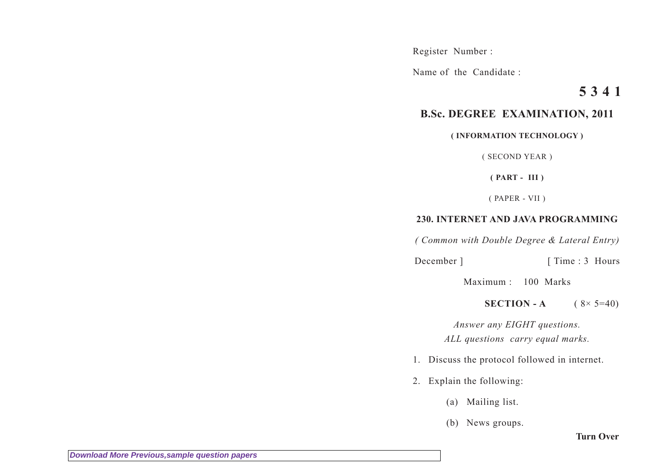Register Number :

Name of the Candidate :

## **5 3 4 1**

## **B.Sc. DEGREE EXAMINATION, 2011**

## **( INFORMATION TECHNOLOGY )**

( SECOND YEAR )

**( PART - III )**

( PAPER - VII )

## **230. INTERNET AND JAVA PROGRAMMING**

*( Common with Double Degree & Lateral Entry)*

December ] [ Time : 3 Hours

Maximum : 100 Marks

**SECTION - A**  $(8 \times 5=40)$ 

*Answer any EIGHT questions. ALL questions carry equal marks.*

- 1. Discuss the protocol followed in internet.
- 2. Explain the following:
	- (a) Mailing list.
	- (b) News groups.